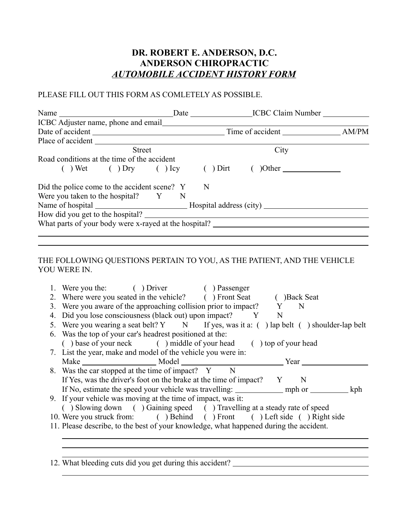## **DR. ROBERT E. ANDERSON, D.C. ANDERSON CHIROPRACTIC** *AUTOMOBILE ACCIDENT HISTORY FORM*

## PLEASE FILL OUT THIS FORM AS COMLETELY AS POSSIBLE.

|                                                       |  |      | Date ICBC Claim Number |  |  |
|-------------------------------------------------------|--|------|------------------------|--|--|
|                                                       |  |      |                        |  |  |
|                                                       |  |      |                        |  |  |
|                                                       |  |      |                        |  |  |
| <b>Street</b>                                         |  | City |                        |  |  |
| Road conditions at the time of the accident           |  |      |                        |  |  |
| $( )$ Wet $( )$ Dry $( )$ Icy $( )$ Dirt              |  |      | $\text{Other}$         |  |  |
| Did the police come to the accident scene? Y N        |  |      |                        |  |  |
| Were you taken to the hospital? $Y \tN$               |  |      |                        |  |  |
|                                                       |  |      |                        |  |  |
| How did you get to the hospital?                      |  |      |                        |  |  |
| What parts of your body were x-rayed at the hospital? |  |      |                        |  |  |
|                                                       |  |      |                        |  |  |

## THE FOLLOWING QUESTIONS PERTAIN TO YOU, AS THE PATIENT, AND THE VEHICLE YOU WERE IN.

| 1. Were you the: () Driver () Passenger                                                    |  |  |  |  |  |  |  |  |
|--------------------------------------------------------------------------------------------|--|--|--|--|--|--|--|--|
| 2. Where were you seated in the vehicle? () Front Seat () Back Seat                        |  |  |  |  |  |  |  |  |
| 3. Were you aware of the approaching collision prior to impact? Y N                        |  |  |  |  |  |  |  |  |
| 4. Did you lose consciousness (black out) upon impact? Y N                                 |  |  |  |  |  |  |  |  |
| 5. Were you wearing a seat belt? Y N If yes, was it a: () lap belt () shoulder-lap belt    |  |  |  |  |  |  |  |  |
| 6. Was the top of your car's headrest positioned at the:                                   |  |  |  |  |  |  |  |  |
| (base of your neck (but in discount of your head (but is not your head                     |  |  |  |  |  |  |  |  |
| 7. List the year, make and model of the vehicle you were in:                               |  |  |  |  |  |  |  |  |
|                                                                                            |  |  |  |  |  |  |  |  |
| 8. Was the car stopped at the time of impact? Y N                                          |  |  |  |  |  |  |  |  |
| If Yes, was the driver's foot on the brake at the time of impact? Y N                      |  |  |  |  |  |  |  |  |
| If No, estimate the speed your vehicle was travelling: _____________ mph or __________ kph |  |  |  |  |  |  |  |  |
| 9. If your vehicle was moving at the time of impact, was it:                               |  |  |  |  |  |  |  |  |
| () Slowing down () Gaining speed () Travelling at a steady rate of speed                   |  |  |  |  |  |  |  |  |
|                                                                                            |  |  |  |  |  |  |  |  |
| 10. Were you struck from: () Behind () Front () Left side () Right side                    |  |  |  |  |  |  |  |  |
| 11. Please describe, to the best of your knowledge, what happened during the accident.     |  |  |  |  |  |  |  |  |
|                                                                                            |  |  |  |  |  |  |  |  |

12. What bleeding cuts did you get during this accident?

 $\overline{a}$